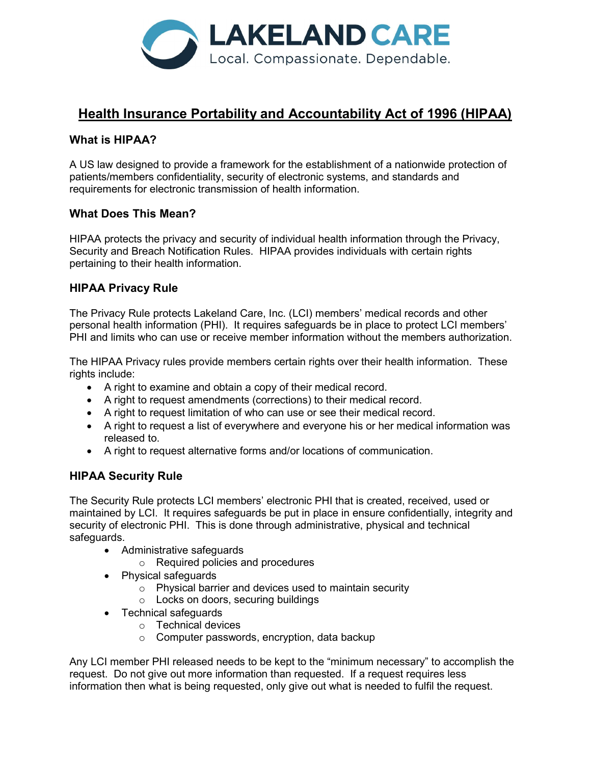

# Health Insurance Portability and Accountability Act of 1996 (HIPAA)

## What is HIPAA?

A US law designed to provide a framework for the establishment of a nationwide protection of patients/members confidentiality, security of electronic systems, and standards and requirements for electronic transmission of health information.

## What Does This Mean?

HIPAA protects the privacy and security of individual health information through the Privacy, Security and Breach Notification Rules. HIPAA provides individuals with certain rights pertaining to their health information.

## HIPAA Privacy Rule

The Privacy Rule protects Lakeland Care, Inc. (LCI) members' medical records and other personal health information (PHI). It requires safeguards be in place to protect LCI members' PHI and limits who can use or receive member information without the members authorization.

The HIPAA Privacy rules provide members certain rights over their health information. These rights include:

- A right to examine and obtain a copy of their medical record.
- A right to request amendments (corrections) to their medical record.
- A right to request limitation of who can use or see their medical record.
- A right to request a list of everywhere and everyone his or her medical information was released to.
- A right to request alternative forms and/or locations of communication.

## HIPAA Security Rule

The Security Rule protects LCI members' electronic PHI that is created, received, used or maintained by LCI. It requires safeguards be put in place in ensure confidentially, integrity and security of electronic PHI. This is done through administrative, physical and technical safeguards.

- Administrative safeguards
	- o Required policies and procedures
- Physical safeguards
	- o Physical barrier and devices used to maintain security
	- o Locks on doors, securing buildings
- Technical safeguards
	- o Technical devices
	- o Computer passwords, encryption, data backup

Any LCI member PHI released needs to be kept to the "minimum necessary" to accomplish the request. Do not give out more information than requested. If a request requires less information then what is being requested, only give out what is needed to fulfil the request.